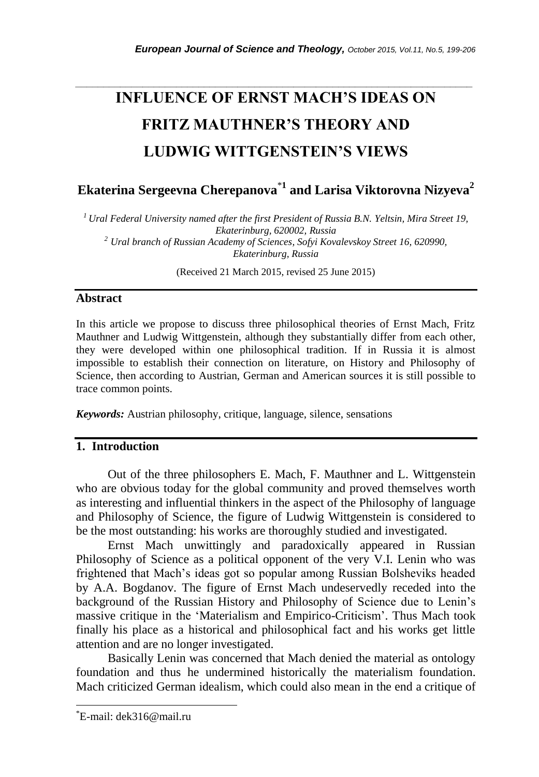# **INFLUENCE OF ERNST MACH'S IDEAS ON FRITZ MAUTHNER'S THEORY AND LUDWIG WITTGENSTEIN'S VIEWS**

*\_\_\_\_\_\_\_\_\_\_\_\_\_\_\_\_\_\_\_\_\_\_\_\_\_\_\_\_\_\_\_\_\_\_\_\_\_\_\_\_\_\_\_\_\_\_\_\_\_\_\_\_\_\_\_\_\_\_\_\_\_\_\_\_\_\_\_\_\_\_\_*

**Ekaterina Sergeevna Cherepanova**\***<sup>1</sup> and Larisa Viktorovna Nizyeva<sup>2</sup>**

*<sup>1</sup>Ural Federal University named after the first President of Russia B.N. Yeltsin, Mira Street 19, Ekaterinburg, 620002, Russia <sup>2</sup> Ural branch of Russian Academy of Sciences, Sofyi Kovalevskoy Street 16, 620990, Ekaterinburg, Russia* 

(Received 21 March 2015, revised 25 June 2015)

#### **Abstract**

In this article we propose to discuss three philosophical theories of Ernst Mach, Fritz Mauthner and Ludwig Wittgenstein, although they substantially differ from each other, they were developed within one philosophical tradition. If in Russia it is almost impossible to establish their connection on literature, on History and Philosophy of Science, then according to Austrian, German and American sources it is still possible to trace common points.

*Keywords:* Austrian philosophy, critique, language, silence, sensations

## **1. Introduction**

Out of the three philosophers E. Mach, F. Mauthner and L. Wittgenstein who are obvious today for the global community and proved themselves worth as interesting and influential thinkers in the aspect of the Philosophy of language and Philosophy of Science, the figure of Ludwig Wittgenstein is considered to be the most outstanding: his works are thoroughly studied and investigated.

Ernst Mach unwittingly and paradoxically appeared in Russian Philosophy of Science as a political opponent of the very V.I. Lenin who was frightened that Mach"s ideas got so popular among Russian Bolsheviks headed by A.A. Bogdanov. The figure of Ernst Mach undeservedly receded into the background of the Russian History and Philosophy of Science due to Lenin"s massive critique in the "Materialism and Empirico-Criticism". Thus Mach took finally his place as a historical and philosophical fact and his works get little attention and are no longer investigated.

Basically Lenin was concerned that Mach denied the material as ontology foundation and thus he undermined historically the materialism foundation. Mach criticized German idealism, which could also mean in the end a critique of

l

<sup>\*</sup>E-mail: dek316@mail.ru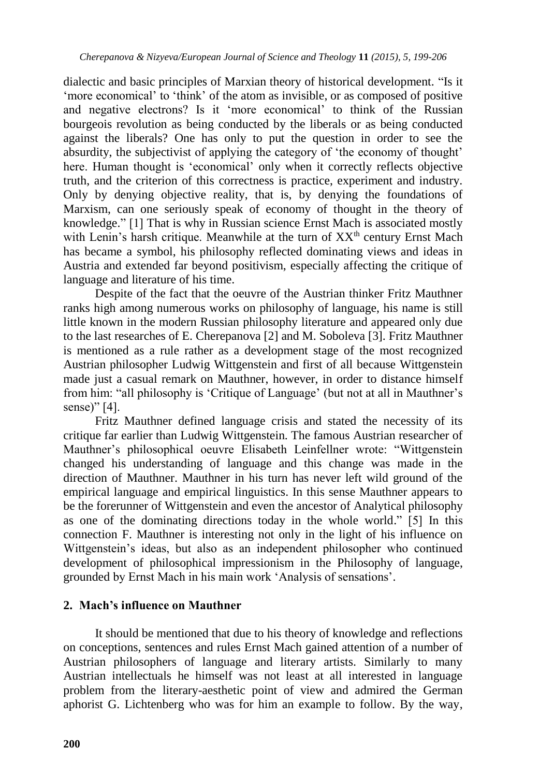dialectic and basic principles of Marxian theory of historical development. "Is it 'more economical' to 'think' of the atom as invisible, or as composed of positive and negative electrons? Is it "more economical" to think of the Russian bourgeois revolution as being conducted by the liberals or as being conducted against the liberals? One has only to put the question in order to see the absurdity, the subjectivist of applying the category of 'the economy of thought' here. Human thought is 'economical' only when it correctly reflects objective truth, and the criterion of this correctness is practice, experiment and industry. Only by denying objective reality, that is, by denying the foundations of Marxism, can one seriously speak of economy of thought in the theory of knowledge." [1] That is why in Russian science Ernst Mach is associated mostly with Lenin's harsh critique. Meanwhile at the turn of XX<sup>th</sup> century Ernst Mach has became a symbol, his philosophy reflected dominating views and ideas in Austria and extended far beyond positivism, especially affecting the critique of language and literature of his time.

Despite of the fact that the oeuvre of the Austrian thinker Fritz Mauthner ranks high among numerous works on philosophy of language, his name is still little known in the modern Russian philosophy literature and appeared only due to the last researches of E. Cherepanova [2] and M. Soboleva [3]. Fritz Mauthner is mentioned as a rule rather as a development stage of the most recognized Austrian philosopher Ludwig Wittgenstein and first of all because Wittgenstein made just a casual remark on Mauthner, however, in order to distance himself from him: "all philosophy is "Critique of Language" (but not at all in Mauthner"s sense)" [4].

Fritz Mauthner defined language crisis and stated the necessity of its critique far earlier than Ludwig Wittgenstein. The famous Austrian researcher of Mauthner"s philosophical oeuvre Elisabeth Leinfellner wrote: "Wittgenstein changed his understanding of language and this change was made in the direction of Mauthner. Mauthner in his turn has never left wild ground of the empirical language and empirical linguistics. In this sense Mauthner appears to be the forerunner of Wittgenstein and even the ancestor of Analytical philosophy as one of the dominating directions today in the whole world." [5] In this connection F. Mauthner is interesting not only in the light of his influence on Wittgenstein"s ideas, but also as an independent philosopher who continued development of philosophical impressionism in the Philosophy of language, grounded by Ernst Mach in his main work "Analysis of sensations".

## **2. Mach's influence on Mauthner**

It should be mentioned that due to his theory of knowledge and reflections on conceptions, sentences and rules Ernst Mach gained attention of a number of Austrian philosophers of language and literary artists. Similarly to many Austrian intellectuals he himself was not least at all interested in language problem from the literary-aesthetic point of view and admired the German aphorist G. Lichtenberg who was for him an example to follow. By the way,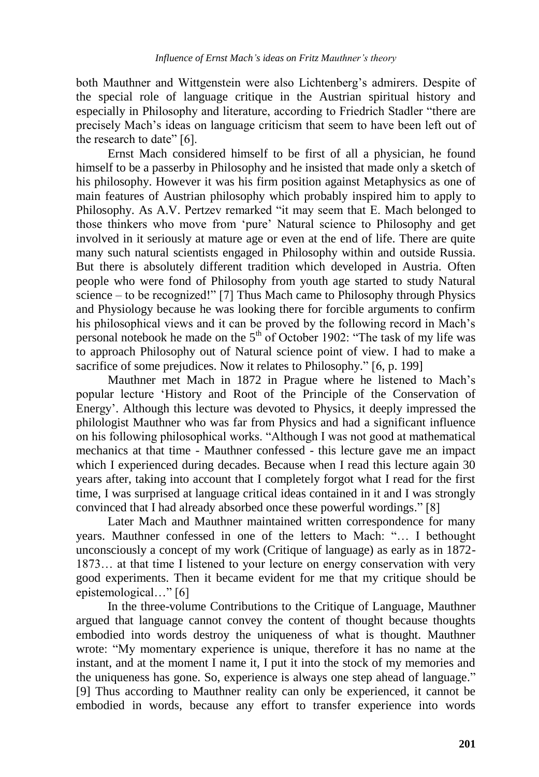both Mauthner and Wittgenstein were also Lichtenberg"s admirers. Despite of the special role of language critique in the Austrian spiritual history and especially in Philosophy and literature, according to Friedrich Stadler "there are precisely Mach"s ideas on language criticism that seem to have been left out of the research to date" [6].

Ernst Mach considered himself to be first of all a physician, he found himself to be a passerby in Philosophy and he insisted that made only a sketch of his philosophy. However it was his firm position against Metaphysics as one of main features of Austrian philosophy which probably inspired him to apply to Philosophy. As A.V. Pertzev remarked "it may seem that E. Mach belonged to those thinkers who move from "pure" Natural science to Philosophy and get involved in it seriously at mature age or even at the end of life. There are quite many such natural scientists engaged in Philosophy within and outside Russia. But there is absolutely different tradition which developed in Austria. Often people who were fond of Philosophy from youth age started to study Natural science – to be recognized!" [7] Thus Mach came to Philosophy through Physics and Physiology because he was looking there for forcible arguments to confirm his philosophical views and it can be proved by the following record in Mach"s personal notebook he made on the  $5<sup>th</sup>$  of October 1902: "The task of my life was to approach Philosophy out of Natural science point of view. I had to make a sacrifice of some prejudices. Now it relates to Philosophy." [6, p. 199]

Mauthner met Mach in 1872 in Prague where he listened to Mach"s popular lecture "History and Root of the Principle of the Conservation of Energy". Although this lecture was devoted to Physics, it deeply impressed the philologist Mauthner who was far from Physics and had a significant influence on his following philosophical works. "Although I was not good at mathematical mechanics at that time - Mauthner confessed - this lecture gave me an impact which I experienced during decades. Because when I read this lecture again 30 years after, taking into account that I completely forgot what I read for the first time, I was surprised at language critical ideas contained in it and I was strongly convinced that I had already absorbed once these powerful wordings." [8]

Later Mach and Mauthner maintained written correspondence for many years. Mauthner confessed in one of the letters to Mach: "… I bethought unconsciously a concept of my work (Critique of language) as early as in 1872- 1873… at that time I listened to your lecture on energy conservation with very good experiments. Then it became evident for me that my critique should be epistemological…" [6]

In the three-volume Contributions to the Critique of Language, Mauthner argued that language cannot convey the content of thought because thoughts embodied into words destroy the uniqueness of what is thought. Mauthner wrote: "My momentary experience is unique, therefore it has no name at the instant, and at the moment I name it, I put it into the stock of my memories and the uniqueness has gone. So, experience is always one step ahead of language." [9] Thus according to Mauthner reality can only be experienced, it cannot be embodied in words, because any effort to transfer experience into words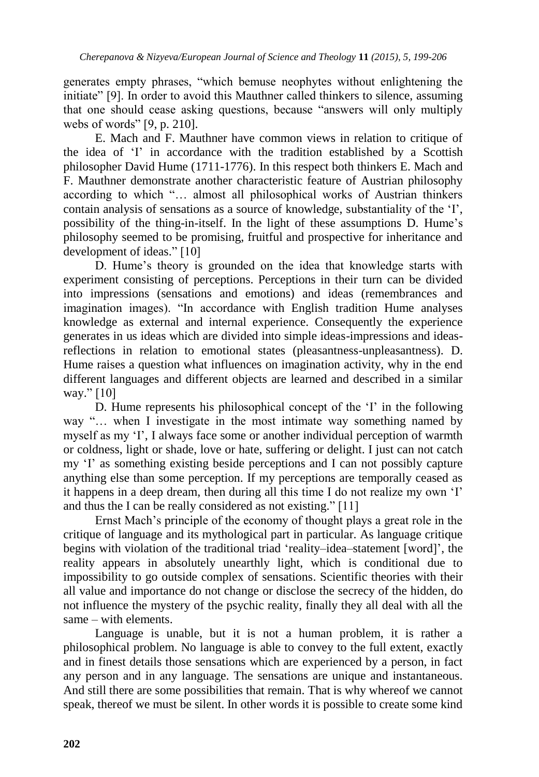generates empty phrases, "which bemuse neophytes without enlightening the initiate" [9]. In order to avoid this Mauthner called thinkers to silence, assuming that one should cease asking questions, because "answers will only multiply webs of words" [9, p. 210].

E. Mach and F. Mauthner have common views in relation to critique of the idea of "I" in accordance with the tradition established by a Scottish philosopher David Hume (1711-1776). In this respect both thinkers E. Mach and F. Mauthner demonstrate another characteristic feature of Austrian philosophy according to which "… almost all philosophical works of Austrian thinkers contain analysis of sensations as a source of knowledge, substantiality of the  $T$ , possibility of the thing-in-itself. In the light of these assumptions D. Hume"s philosophy seemed to be promising, fruitful and prospective for inheritance and development of ideas." [10]

D. Hume's theory is grounded on the idea that knowledge starts with experiment consisting of perceptions. Perceptions in their turn can be divided into impressions (sensations and emotions) and ideas (remembrances and imagination images). "In accordance with English tradition Hume analyses knowledge as external and internal experience. Consequently the experience generates in us ideas which are divided into simple ideas-impressions and ideasreflections in relation to emotional states (pleasantness-unpleasantness). D. Hume raises a question what influences on imagination activity, why in the end different languages and different objects are learned and described in a similar way." [10]

D. Hume represents his philosophical concept of the 'I' in the following way "… when I investigate in the most intimate way something named by myself as my "I", I always face some or another individual perception of warmth or coldness, light or shade, love or hate, suffering or delight. I just can not catch my "I" as something existing beside perceptions and I can not possibly capture anything else than some perception. If my perceptions are temporally ceased as it happens in a deep dream, then during all this time I do not realize my own "I" and thus the I can be really considered as not existing." [11]

Ernst Mach"s principle of the economy of thought plays a great role in the critique of language and its mythological part in particular. As language critique begins with violation of the traditional triad "reality–idea–statement [word]", the reality appears in absolutely unearthly light, which is conditional due to impossibility to go outside complex of sensations. Scientific theories with their all value and importance do not change or disclose the secrecy of the hidden, do not influence the mystery of the psychic reality, finally they all deal with all the same – with elements.

Language is unable, but it is not a human problem, it is rather a philosophical problem. No language is able to convey to the full extent, exactly and in finest details those sensations which are experienced by a person, in fact any person and in any language. The sensations are unique and instantaneous. And still there are some possibilities that remain. That is why whereof we cannot speak, thereof we must be silent. In other words it is possible to create some kind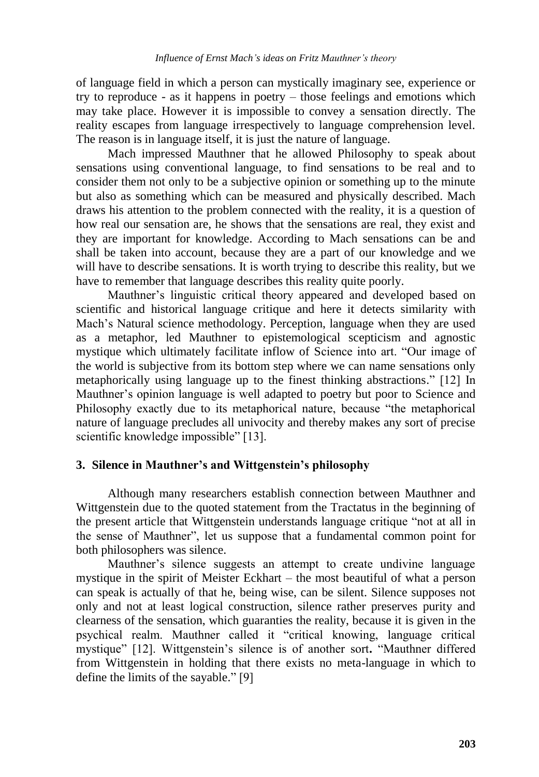of language field in which a person can mystically imaginary see, experience or try to reproduce - as it happens in poetry – those feelings and emotions which may take place. However it is impossible to convey a sensation directly. The reality escapes from language irrespectively to language comprehension level. The reason is in language itself, it is just the nature of language.

Mach impressed Mauthner that he allowed Philosophy to speak about sensations using conventional language, to find sensations to be real and to consider them not only to be a subjective opinion or something up to the minute but also as something which can be measured and physically described. Mach draws his attention to the problem connected with the reality, it is a question of how real our sensation are, he shows that the sensations are real, they exist and they are important for knowledge. According to Mach sensations can be and shall be taken into account, because they are a part of our knowledge and we will have to describe sensations. It is worth trying to describe this reality, but we have to remember that language describes this reality quite poorly.

Mauthner's linguistic critical theory appeared and developed based on scientific and historical language critique and here it detects similarity with Mach"s Natural science methodology. Perception, language when they are used as a metaphor, led Mauthner to epistemological scepticism and agnostic mystique which ultimately facilitate inflow of Science into art. "Our image of the world is subjective from its bottom step where we can name sensations only metaphorically using language up to the finest thinking abstractions." [12] In Mauthner"s opinion language is well adapted to poetry but poor to Science and Philosophy exactly due to its metaphorical nature, because "the metaphorical nature of language precludes all univocity and thereby makes any sort of precise scientific knowledge impossible" [13].

#### **3. Silence in Mauthner's and Wittgenstein's philosophy**

Although many researchers establish connection between Mauthner and Wittgenstein due to the quoted statement from the Tractatus in the beginning of the present article that Wittgenstein understands language critique "not at all in the sense of Mauthner", let us suppose that a fundamental common point for both philosophers was silence.

Mauthner"s silence suggests an attempt to create undivine language mystique in the spirit of Meister Eckhart – the most beautiful of what a person can speak is actually of that he, being wise, can be silent. Silence supposes not only and not at least logical construction, silence rather preserves purity and clearness of the sensation, which guaranties the reality, because it is given in the psychical realm. Mauthner called it "critical knowing, language critical mystique" [12]. Wittgenstein"s silence is of another sort**.** "Mauthner differed from Wittgenstein in holding that there exists no meta-language in which to define the limits of the sayable." [9]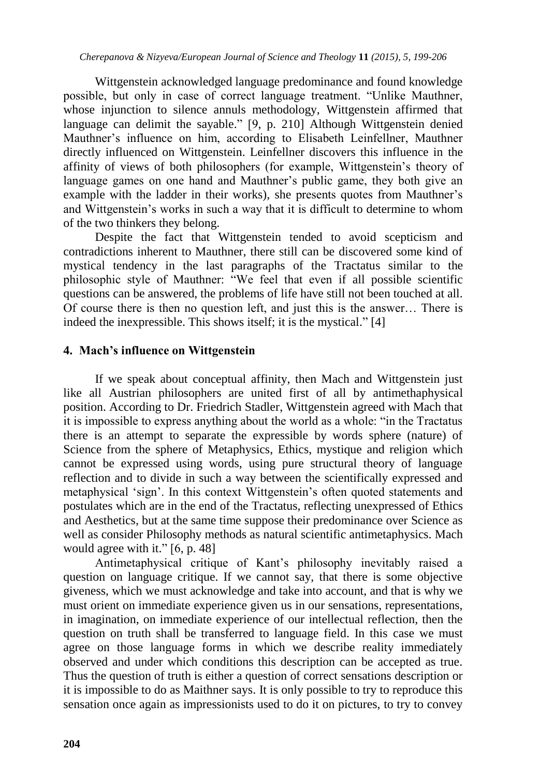Wittgenstein acknowledged language predominance and found knowledge possible, but only in case of correct language treatment. "Unlike Mauthner, whose injunction to silence annuls methodology, Wittgenstein affirmed that language can delimit the sayable." [9, p. 210] Although Wittgenstein denied Mauthner"s influence on him, according to Elisabeth Leinfellner, Mauthner directly influenced on Wittgenstein. Leinfellner discovers this influence in the affinity of views of both philosophers (for example, Wittgenstein"s theory of language games on one hand and Mauthner's public game, they both give an example with the ladder in their works), she presents quotes from Mauthner's and Wittgenstein"s works in such a way that it is difficult to determine to whom of the two thinkers they belong.

Despite the fact that Wittgenstein tended to avoid scepticism and contradictions inherent to Mauthner, there still can be discovered some kind of mystical tendency in the last paragraphs of the Tractatus similar to the philosophic style of Mauthner: "We feel that even if all possible scientific questions can be answered, the problems of life have still not been touched at all. Of course there is then no question left, and just this is the answer… There is indeed the inexpressible. This shows itself; it is the mystical." [4]

## **4. Mach's influence on Wittgenstein**

If we speak about conceptual affinity, then Mach and Wittgenstein just like all Austrian philosophers are united first of all by antimethaphysical position. According to Dr. Friedrich Stadler, Wittgenstein agreed with Mach that it is impossible to express anything about the world as a whole: "in the Tractatus there is an attempt to separate the expressible by words sphere (nature) of Science from the sphere of Metaphysics, Ethics, mystique and religion which cannot be expressed using words, using pure structural theory of language reflection and to divide in such a way between the scientifically expressed and metaphysical "sign". In this context Wittgenstein"s often quoted statements and postulates which are in the end of the Tractatus, reflecting unexpressed of Ethics and Aesthetics, but at the same time suppose their predominance over Science as well as consider Philosophy methods as natural scientific antimetaphysics. Mach would agree with it." [6, p. 48]

Antimetaphysical critique of Kant"s philosophy inevitably raised a question on language critique. If we cannot say, that there is some objective giveness, which we must acknowledge and take into account, and that is why we must orient on immediate experience given us in our sensations, representations, in imagination, on immediate experience of our intellectual reflection, then the question on truth shall be transferred to language field. In this case we must agree on those language forms in which we describe reality immediately observed and under which conditions this description can be accepted as true. Thus the question of truth is either a question of correct sensations description or it is impossible to do as Maithner says. It is only possible to try to reproduce this sensation once again as impressionists used to do it on pictures, to try to convey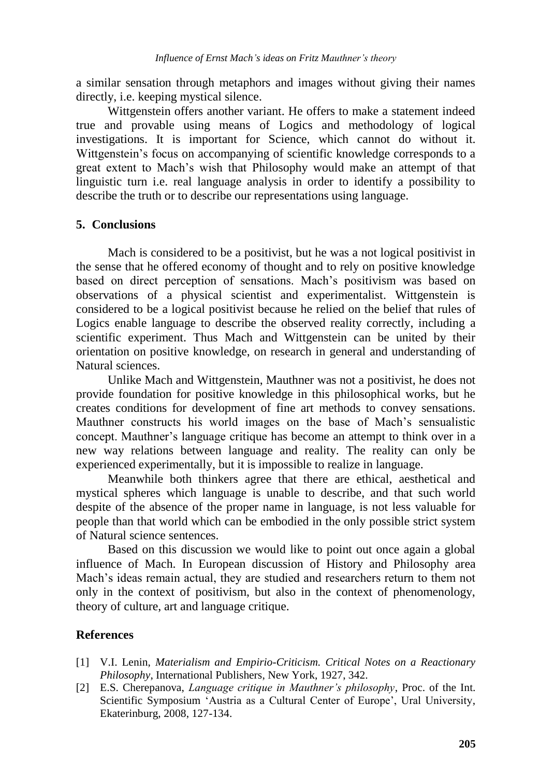a similar sensation through metaphors and images without giving their names directly, i.e. keeping mystical silence.

Wittgenstein offers another variant. He offers to make a statement indeed true and provable using means of Logics and methodology of logical investigations. It is important for Science, which cannot do without it. Wittgenstein"s focus on accompanying of scientific knowledge corresponds to a great extent to Mach"s wish that Philosophy would make an attempt of that linguistic turn i.e. real language analysis in order to identify a possibility to describe the truth or to describe our representations using language.

## **5. Conclusions**

Mach is considered to be a positivist, but he was a not logical positivist in the sense that he offered economy of thought and to rely on positive knowledge based on direct perception of sensations. Mach"s positivism was based on observations of a physical scientist and experimentalist. Wittgenstein is considered to be a logical positivist because he relied on the belief that rules of Logics enable language to describe the observed reality correctly, including a scientific experiment. Thus Mach and Wittgenstein can be united by their orientation on positive knowledge, on research in general and understanding of Natural sciences.

Unlike Mach and Wittgenstein, Mauthner was not a positivist, he does not provide foundation for positive knowledge in this philosophical works, but he creates conditions for development of fine art methods to convey sensations. Mauthner constructs his world images on the base of Mach"s sensualistic concept. Mauthner"s language critique has become an attempt to think over in a new way relations between language and reality. The reality can only be experienced experimentally, but it is impossible to realize in language.

Meanwhile both thinkers agree that there are ethical, aesthetical and mystical spheres which language is unable to describe, and that such world despite of the absence of the proper name in language, is not less valuable for people than that world which can be embodied in the only possible strict system of Natural science sentences.

Based on this discussion we would like to point out once again a global influence of Mach. In European discussion of History and Philosophy area Mach"s ideas remain actual, they are studied and researchers return to them not only in the context of positivism, but also in the context of phenomenology, theory of culture, art and language critique.

#### **References**

- [1] V.I. Lenin, *Materialism and Empirio-Criticism. Critical Notes on a Reactionary Philosophy*, International Publishers, New York, 1927, 342.
- [2] E.S. Cherepanova, *Language critique in Mauthner's philosophy*, Proc. of the Int. Scientific Symposium 'Austria as a Cultural Center of Europe', Ural University, Ekaterinburg, 2008, 127-134.